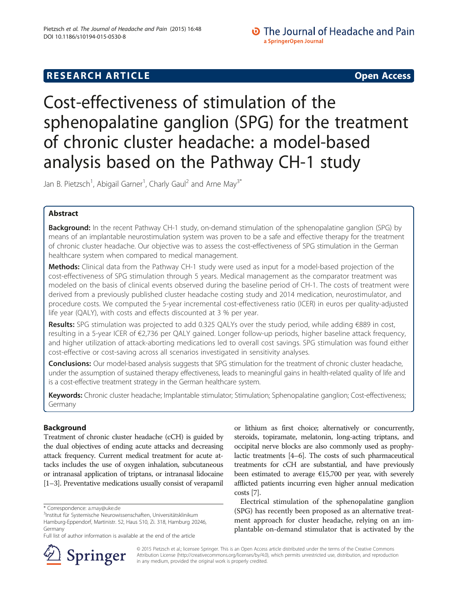## **RESEARCH ARTICLE Example 2014 12:30 The SEAR CH ACCESS**

# Cost-effectiveness of stimulation of the sphenopalatine ganglion (SPG) for the treatment of chronic cluster headache: a model-based analysis based on the Pathway CH-1 study

Jan B. Pietzsch<sup>1</sup>, Abigail Garner<sup>1</sup>, Charly Gaul<sup>2</sup> and Arne May<sup>3\*</sup>

## Abstract

**Background:** In the recent Pathway CH-1 study, on-demand stimulation of the sphenopalatine ganglion (SPG) by means of an implantable neurostimulation system was proven to be a safe and effective therapy for the treatment of chronic cluster headache. Our objective was to assess the cost-effectiveness of SPG stimulation in the German healthcare system when compared to medical management.

Methods: Clinical data from the Pathway CH-1 study were used as input for a model-based projection of the cost-effectiveness of SPG stimulation through 5 years. Medical management as the comparator treatment was modeled on the basis of clinical events observed during the baseline period of CH-1. The costs of treatment were derived from a previously published cluster headache costing study and 2014 medication, neurostimulator, and procedure costs. We computed the 5-year incremental cost-effectiveness ratio (ICER) in euros per quality-adjusted life year (QALY), with costs and effects discounted at 3 % per year.

Results: SPG stimulation was projected to add 0.325 QALYs over the study period, while adding €889 in cost, resulting in a 5-year ICER of €2,736 per QALY gained. Longer follow-up periods, higher baseline attack frequency, and higher utilization of attack-aborting medications led to overall cost savings. SPG stimulation was found either cost-effective or cost-saving across all scenarios investigated in sensitivity analyses.

**Conclusions:** Our model-based analysis suggests that SPG stimulation for the treatment of chronic cluster headache, under the assumption of sustained therapy effectiveness, leads to meaningful gains in health-related quality of life and is a cost-effective treatment strategy in the German healthcare system.

Keywords: Chronic cluster headache; Implantable stimulator; Stimulation; Sphenopalatine ganglion; Cost-effectiveness; Germany

## Background

Treatment of chronic cluster headache (cCH) is guided by the dual objectives of ending acute attacks and decreasing attack frequency. Current medical treatment for acute attacks includes the use of oxygen inhalation, subcutaneous or intranasal application of triptans, or intranasal lidocaine [[1](#page-8-0)–[3\]](#page-8-0). Preventative medications usually consist of verapamil or lithium as first choice; alternatively or concurrently, steroids, topiramate, melatonin, long-acting triptans, and occipital nerve blocks are also commonly used as prophylactic treatments [\[4](#page-8-0)–[6](#page-8-0)]. The costs of such pharmaceutical treatments for cCH are substantial, and have previously been estimated to average  $E15,700$  per year, with severely afflicted patients incurring even higher annual medication costs [[7](#page-8-0)].

Electrical stimulation of the sphenopalatine ganglion (SPG) has recently been proposed as an alternative treatment approach for cluster headache, relying on an implantable on-demand stimulator that is activated by the



© 2015 Pietzsch et al.; licensee Springer. This is an Open Access article distributed under the terms of the Creative Commons Attribution License [\(http://creativecommons.org/licenses/by/4.0\)](http://creativecommons.org/licenses/by/4.0), which permits unrestricted use, distribution, and reproduction in any medium, provided the original work is properly credited.

<sup>\*</sup> Correspondence: [a.may@uke.de](mailto:a.may@uke.de) <sup>3</sup>

<sup>&</sup>lt;sup>3</sup>Institut für Systemische Neurowissenschaften, Universitätsklinikum Hamburg-Eppendorf, Martinistr. 52, Haus S10, Zi. 318, Hamburg 20246, Germany

Full list of author information is available at the end of the article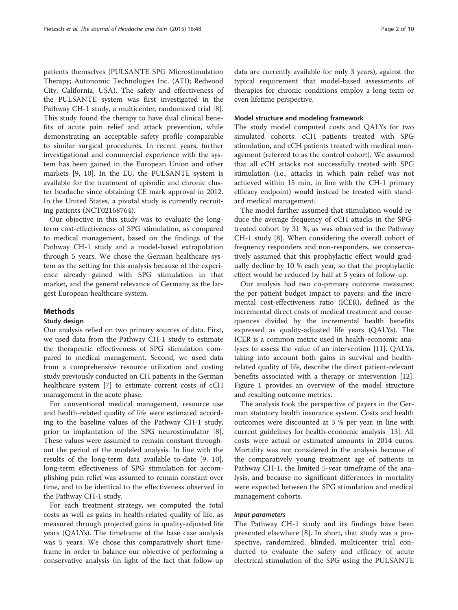patients themselves (PULSANTE SPG Microstimulation Therapy; Autonomic Technologies Inc. (ATI); Redwood City, California, USA). The safety and effectiveness of the PULSANTE system was first investigated in the Pathway CH-1 study, a multicenter, randomized trial [\[8](#page-8-0)]. This study found the therapy to have dual clinical benefits of acute pain relief and attack prevention, while demonstrating an acceptable safety profile comparable to similar surgical procedures. In recent years, further investigational and commercial experience with the system has been gained in the European Union and other markets [\[9](#page-8-0), [10\]](#page-8-0). In the EU, the PULSANTE system is available for the treatment of episodic and chronic cluster headache since obtaining CE mark approval in 2012. In the United States, a pivotal study is currently recruiting patients (NCT02168764).

Our objective in this study was to evaluate the longterm cost-effectiveness of SPG stimulation, as compared to medical management, based on the findings of the Pathway CH-1 study and a model-based extrapolation through 5 years. We chose the German healthcare system as the setting for this analysis because of the experience already gained with SPG stimulation in that market, and the general relevance of Germany as the largest European healthcare system.

## Methods

## Study design

Our analysis relied on two primary sources of data. First, we used data from the Pathway CH-1 study to estimate the therapeutic effectiveness of SPG stimulation compared to medical management. Second, we used data from a comprehensive resource utilization and costing study previously conducted on CH patients in the German healthcare system [\[7](#page-8-0)] to estimate current costs of cCH management in the acute phase.

For conventional medical management, resource use and health-related quality of life were estimated according to the baseline values of the Pathway CH-1 study, prior to implantation of the SPG neurostimulator [\[8](#page-8-0)]. These values were assumed to remain constant throughout the period of the modeled analysis. In line with the results of the long-term data available to-date [\[9](#page-8-0), [10](#page-8-0)], long-term effectiveness of SPG stimulation for accomplishing pain relief was assumed to remain constant over time, and to be identical to the effectiveness observed in the Pathway CH-1 study.

For each treatment strategy, we computed the total costs as well as gains in health-related quality of life, as measured through projected gains in quality-adjusted life years (QALYs). The timeframe of the base case analysis was 5 years. We chose this comparatively short timeframe in order to balance our objective of performing a conservative analysis (in light of the fact that follow-up data are currently available for only 3 years), against the typical requirement that model-based assessments of therapies for chronic conditions employ a long-term or even lifetime perspective.

## Model structure and modeling framework

The study model computed costs and QALYs for two simulated cohorts: cCH patients treated with SPG stimulation, and cCH patients treated with medical management (referred to as the control cohort). We assumed that all cCH attacks not successfully treated with SPG stimulation (i.e., attacks in which pain relief was not achieved within 15 min, in line with the CH-1 primary efficacy endpoint) would instead be treated with standard medical management.

The model further assumed that stimulation would reduce the average frequency of cCH attacks in the SPGtreated cohort by 31 %, as was observed in the Pathway CH-1 study [[8\]](#page-8-0). When considering the overall cohort of frequency responders and non-responders, we conservatively assumed that this prophylactic effect would gradually decline by 10 % each year, so that the prophylactic effect would be reduced by half at 5 years of follow-up.

Our analysis had two co-primary outcome measures: the per-patient budget impact to payers; and the incremental cost-effectiveness ratio (ICER), defined as the incremental direct costs of medical treatment and consequences divided by the incremental health benefits expressed as quality-adjusted life years (QALYs). The ICER is a common metric used in health-economic analyses to assess the value of an intervention [[11\]](#page-9-0). QALYs, taking into account both gains in survival and healthrelated quality of life, describe the direct patient-relevant benefits associated with a therapy or intervention [\[12](#page-9-0)]. Figure [1](#page-2-0) provides an overview of the model structure and resulting outcome metrics.

The analysis took the perspective of payers in the German statutory health insurance system. Costs and health outcomes were discounted at 3 % per year, in line with current guidelines for health-economic analysis [[13\]](#page-9-0). All costs were actual or estimated amounts in 2014 euros. Mortality was not considered in the analysis because of the comparatively young treatment age of patients in Pathway CH-1, the limited 5-year timeframe of the analysis, and because no significant differences in mortality were expected between the SPG stimulation and medical management cohorts.

## Input parameters

The Pathway CH-1 study and its findings have been presented elsewhere [[8\]](#page-8-0). In short, that study was a prospective, randomized, blinded, multicenter trial conducted to evaluate the safety and efficacy of acute electrical stimulation of the SPG using the PULSANTE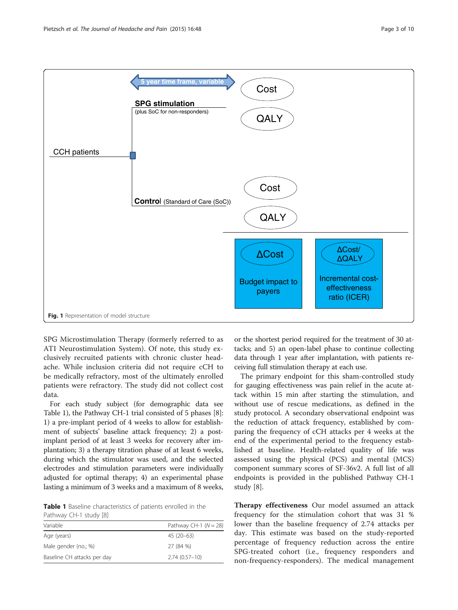<span id="page-2-0"></span>

SPG Microstimulation Therapy (formerly referred to as ATI Neurostimulation System). Of note, this study exclusively recruited patients with chronic cluster headache. While inclusion criteria did not require cCH to be medically refractory, most of the ultimately enrolled patients were refractory. The study did not collect cost data.

For each study subject (for demographic data see Table 1), the Pathway CH-1 trial consisted of 5 phases [[8](#page-8-0)]: 1) a pre-implant period of 4 weeks to allow for establishment of subjects' baseline attack frequency; 2) a postimplant period of at least 3 weeks for recovery after implantation; 3) a therapy titration phase of at least 6 weeks, during which the stimulator was used, and the selected electrodes and stimulation parameters were individually adjusted for optimal therapy; 4) an experimental phase lasting a minimum of 3 weeks and a maximum of 8 weeks,

Table 1 Baseline characteristics of patients enrolled in the Pathway CH-1 study [[8\]](#page-8-0)

| Variable                    | Pathway CH-1 $(N = 28)$ |  |  |  |
|-----------------------------|-------------------------|--|--|--|
| Age (years)                 | $45(20-63)$             |  |  |  |
| Male gender (no.; %)        | 27 (84 %)               |  |  |  |
| Baseline CH attacks per day | $2.74(0.57-10)$         |  |  |  |

or the shortest period required for the treatment of 30 attacks; and 5) an open-label phase to continue collecting data through 1 year after implantation, with patients receiving full stimulation therapy at each use.

The primary endpoint for this sham-controlled study for gauging effectiveness was pain relief in the acute attack within 15 min after starting the stimulation, and without use of rescue medications, as defined in the study protocol. A secondary observational endpoint was the reduction of attack frequency, established by comparing the frequency of cCH attacks per 4 weeks at the end of the experimental period to the frequency established at baseline. Health-related quality of life was assessed using the physical (PCS) and mental (MCS) component summary scores of SF-36v2. A full list of all endpoints is provided in the published Pathway CH-1 study [[8\]](#page-8-0).

Therapy effectiveness Our model assumed an attack frequency for the stimulation cohort that was 31 % lower than the baseline frequency of 2.74 attacks per day. This estimate was based on the study-reported percentage of frequency reduction across the entire SPG-treated cohort (i.e., frequency responders and non-frequency-responders). The medical management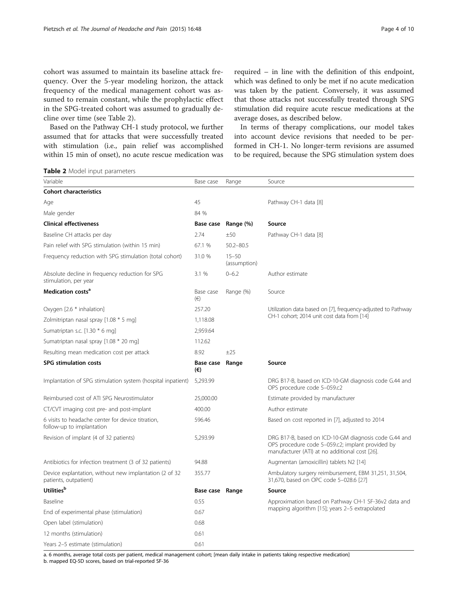<span id="page-3-0"></span>cohort was assumed to maintain its baseline attack frequency. Over the 5-year modeling horizon, the attack frequency of the medical management cohort was assumed to remain constant, while the prophylactic effect in the SPG-treated cohort was assumed to gradually decline over time (see Table 2).

Based on the Pathway CH-1 study protocol, we further assumed that for attacks that were successfully treated with stimulation (i.e., pain relief was accomplished within 15 min of onset), no acute rescue medication was required – in line with the definition of this endpoint, which was defined to only be met if no acute medication was taken by the patient. Conversely, it was assumed that those attacks not successfully treated through SPG stimulation did require acute rescue medications at the average doses, as described below.

In terms of therapy complications, our model takes into account device revisions that needed to be performed in CH-1. No longer-term revisions are assumed to be required, because the SPG stimulation system does

Table 2 Model input parameters

| Variable                                                                        | Base case            | Range                     | Source                                                                                                                                                      |  |
|---------------------------------------------------------------------------------|----------------------|---------------------------|-------------------------------------------------------------------------------------------------------------------------------------------------------------|--|
| <b>Cohort characteristics</b>                                                   |                      |                           |                                                                                                                                                             |  |
| Age                                                                             | 45                   |                           | Pathway CH-1 data [8]                                                                                                                                       |  |
| Male gender                                                                     | 84 %                 |                           |                                                                                                                                                             |  |
| <b>Clinical effectiveness</b>                                                   | Base case            | Range (%)                 | Source                                                                                                                                                      |  |
| Baseline CH attacks per day                                                     | 2.74                 | ±50                       | Pathway CH-1 data [8]                                                                                                                                       |  |
| Pain relief with SPG stimulation (within 15 min)                                | 67.1 %               | $50.2 - 80.5$             |                                                                                                                                                             |  |
| Frequency reduction with SPG stimulation (total cohort)                         | 31.0 %               | $15 - 50$<br>(assumption) |                                                                                                                                                             |  |
| Absolute decline in frequency reduction for SPG<br>stimulation, per year        | 3.1 %                | $0 - 6.2$                 | Author estimate                                                                                                                                             |  |
| Medication costs <sup>a</sup>                                                   | Base case<br>$(\in)$ | Range (%)                 | Source                                                                                                                                                      |  |
| Oxygen [2.6 * inhalation]                                                       | 257.20               |                           | Utilization data based on [7], frequency-adjusted to Pathway                                                                                                |  |
| Zolmitriptan nasal spray [1.08 * 5 mg]                                          | 1.118.08             |                           | CH-1 cohort; 2014 unit cost data from [14]                                                                                                                  |  |
| Sumatriptan s.c. [1.30 * 6 mg]                                                  | 2,959.64             |                           |                                                                                                                                                             |  |
| Sumatriptan nasal spray [1.08 * 20 mg]                                          | 112.62               |                           |                                                                                                                                                             |  |
| Resulting mean medication cost per attack                                       | 8.92                 | $+25$                     |                                                                                                                                                             |  |
| <b>SPG stimulation costs</b>                                                    | Base case<br>(€)     | Range                     | Source                                                                                                                                                      |  |
| Implantation of SPG stimulation system (hospital inpatient)                     | 5,293.99             |                           | DRG B17-B, based on ICD-10-GM diagnosis code G.44 and<br>OPS procedure code 5-059.c2                                                                        |  |
| Reimbursed cost of ATI SPG Neurostimulator                                      | 25,000.00            |                           | Estimate provided by manufacturer                                                                                                                           |  |
| CT/CVT imaging cost pre- and post-implant                                       | 400.00               |                           | Author estimate                                                                                                                                             |  |
| 6 visits to headache center for device titration,<br>follow-up to implantation  | 596.46               |                           | Based on cost reported in [7], adjusted to 2014                                                                                                             |  |
| Revision of implant (4 of 32 patients)                                          | 5,293.99             |                           | DRG B17-B, based on ICD-10-GM diagnosis code G.44 and<br>OPS procedure code 5-059.c2; implant provided by<br>manufacturer (ATI) at no additional cost [26]. |  |
| Antibiotics for infection treatment (3 of 32 patients)                          | 94.88                |                           | Augmentan (amoxicillin) tablets N2 [14]                                                                                                                     |  |
| Device explantation, without new implantation (2 of 32<br>patients, outpatient) | 355.77               |                           | Ambulatory surgery reimbursement, EBM 31,251, 31,504,<br>31,670, based on OPC code 5-028.6 [27]                                                             |  |
| <b>Utilities</b> <sup>b</sup>                                                   | Base case Range      |                           | Source                                                                                                                                                      |  |
| Baseline                                                                        | 0.55                 |                           | Approximation based on Pathway CH-1 SF-36v2 data and<br>mapping algorithm [15]; years 2-5 extrapolated                                                      |  |
| End of experimental phase (stimulation)                                         | 0.67                 |                           |                                                                                                                                                             |  |
| Open label (stimulation)                                                        | 0.68                 |                           |                                                                                                                                                             |  |
| 12 months (stimulation)                                                         | 0.61                 |                           |                                                                                                                                                             |  |
| Years 2-5 estimate (stimulation)                                                | 0.61                 |                           |                                                                                                                                                             |  |

a. 6 months, average total costs per patient, medical management cohort; [mean daily intake in patients taking respective medication]

b. mapped EQ-5D scores, based on trial-reported SF-36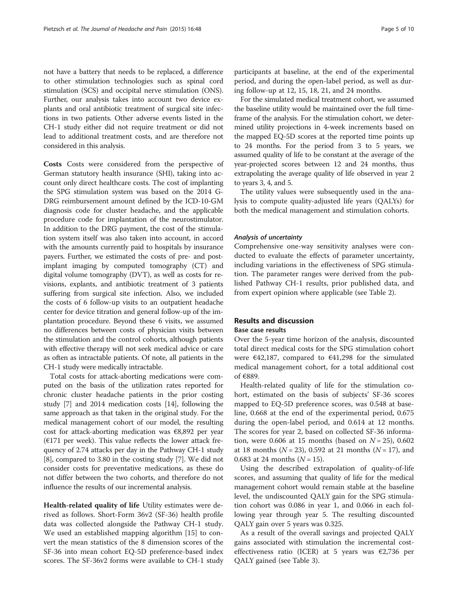not have a battery that needs to be replaced, a difference to other stimulation technologies such as spinal cord stimulation (SCS) and occipital nerve stimulation (ONS). Further, our analysis takes into account two device explants and oral antibiotic treatment of surgical site infections in two patients. Other adverse events listed in the CH-1 study either did not require treatment or did not lead to additional treatment costs, and are therefore not considered in this analysis.

Costs Costs were considered from the perspective of German statutory health insurance (SHI), taking into account only direct healthcare costs. The cost of implanting the SPG stimulation system was based on the 2014 G-DRG reimbursement amount defined by the ICD-10-GM diagnosis code for cluster headache, and the applicable procedure code for implantation of the neurostimulator. In addition to the DRG payment, the cost of the stimulation system itself was also taken into account, in accord with the amounts currently paid to hospitals by insurance payers. Further, we estimated the costs of pre- and postimplant imaging by computed tomography (CT) and digital volume tomography (DVT), as well as costs for revisions, explants, and antibiotic treatment of 3 patients suffering from surgical site infection. Also, we included the costs of 6 follow-up visits to an outpatient headache center for device titration and general follow-up of the implantation procedure. Beyond these 6 visits, we assumed no differences between costs of physician visits between the stimulation and the control cohorts, although patients with effective therapy will not seek medical advice or care as often as intractable patients. Of note, all patients in the CH-1 study were medically intractable.

Total costs for attack-aborting medications were computed on the basis of the utilization rates reported for chronic cluster headache patients in the prior costing study [[7](#page-8-0)] and 2014 medication costs [\[14\]](#page-9-0), following the same approach as that taken in the original study. For the medical management cohort of our model, the resulting cost for attack-aborting medication was €8,892 per year  $(6171)$  per week). This value reflects the lower attack frequency of 2.74 attacks per day in the Pathway CH-1 study [[8\]](#page-8-0), compared to 3.80 in the costing study [\[7](#page-8-0)]. We did not consider costs for preventative medications, as these do not differ between the two cohorts, and therefore do not influence the results of our incremental analysis.

Health-related quality of life Utility estimates were derived as follows. Short-Form 36v2 (SF-36) health profile data was collected alongside the Pathway CH-1 study. We used an established mapping algorithm [[15\]](#page-9-0) to convert the mean statistics of the 8 dimension scores of the SF-36 into mean cohort EQ-5D preference-based index scores. The SF-36v2 forms were available to CH-1 study

participants at baseline, at the end of the experimental period, and during the open-label period, as well as during follow-up at 12, 15, 18, 21, and 24 months.

For the simulated medical treatment cohort, we assumed the baseline utility would be maintained over the full timeframe of the analysis. For the stimulation cohort, we determined utility projections in 4-week increments based on the mapped EQ-5D scores at the reported time points up to 24 months. For the period from 3 to 5 years, we assumed quality of life to be constant at the average of the year-projected scores between 12 and 24 months, thus extrapolating the average quality of life observed in year 2 to years 3, 4, and 5.

The utility values were subsequently used in the analysis to compute quality-adjusted life years (QALYs) for both the medical management and stimulation cohorts.

#### Analysis of uncertainty

Comprehensive one-way sensitivity analyses were conducted to evaluate the effects of parameter uncertainty, including variations in the effectiveness of SPG stimulation. The parameter ranges were derived from the published Pathway CH-1 results, prior published data, and from expert opinion where applicable (see Table [2\)](#page-3-0).

## Results and discussion

## Base case results

Over the 5-year time horizon of the analysis, discounted total direct medical costs for the SPG stimulation cohort were €42,187, compared to €41,298 for the simulated medical management cohort, for a total additional cost of €889.

Health-related quality of life for the stimulation cohort, estimated on the basis of subjects' SF-36 scores mapped to EQ-5D preference scores, was 0.548 at baseline, 0.668 at the end of the experimental period, 0.675 during the open-label period, and 0.614 at 12 months. The scores for year 2, based on collected SF-36 information, were 0.606 at 15 months (based on  $N = 25$ ), 0.602 at 18 months ( $N = 23$ ), 0.592 at 21 months ( $N = 17$ ), and 0.683 at 24 months ( $N = 15$ ).

Using the described extrapolation of quality-of-life scores, and assuming that quality of life for the medical management cohort would remain stable at the baseline level, the undiscounted QALY gain for the SPG stimulation cohort was 0.086 in year 1, and 0.066 in each following year through year 5. The resulting discounted QALY gain over 5 years was 0.325.

As a result of the overall savings and projected QALY gains associated with stimulation the incremental costeffectiveness ratio (ICER) at 5 years was  $\epsilon$ 2,736 per QALY gained (see Table [3](#page-5-0)).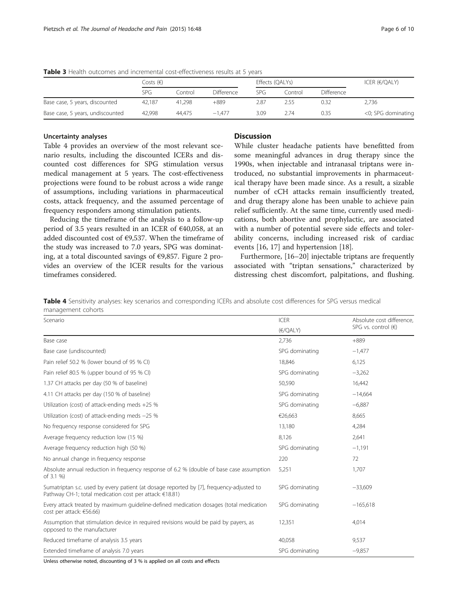|                                  | Costs (€)  |         |            | Effects (QALYs) |         |                   | ICER $(E/QALY)$    |
|----------------------------------|------------|---------|------------|-----------------|---------|-------------------|--------------------|
|                                  | <b>SPG</b> | Control | Difference | SPG             | Control | <b>Difference</b> |                    |
| Base case, 5 years, discounted   | 42,187     | 41.298  | +889       | 2.87            | 2.55    | 0.32              | 2.736              |
| Base case, 5 years, undiscounted | 42.998     | 44.475  | $-1.477$   | 3.09            | 274     | 0.35              | <0; SPG dominating |

<span id="page-5-0"></span>Table 3 Health outcomes and incremental cost-effectiveness results at 5 years

## Uncertainty analyses

Table 4 provides an overview of the most relevant scenario results, including the discounted ICERs and discounted cost differences for SPG stimulation versus medical management at 5 years. The cost-effectiveness projections were found to be robust across a wide range of assumptions, including variations in pharmaceutical costs, attack frequency, and the assumed percentage of frequency responders among stimulation patients.

Reducing the timeframe of the analysis to a follow-up period of 3.5 years resulted in an ICER of €40,058, at an added discounted cost of  $\epsilon$ 9,537. When the timeframe of the study was increased to 7.0 years, SPG was dominating, at a total discounted savings of €9,857. Figure [2](#page-6-0) provides an overview of the ICER results for the various timeframes considered.

## **Discussion**

While cluster headache patients have benefitted from some meaningful advances in drug therapy since the 1990s, when injectable and intranasal triptans were introduced, no substantial improvements in pharmaceutical therapy have been made since. As a result, a sizable number of cCH attacks remain insufficiently treated, and drug therapy alone has been unable to achieve pain relief sufficiently. At the same time, currently used medications, both abortive and prophylactic, are associated with a number of potential severe side effects and tolerability concerns, including increased risk of cardiac events [[16, 17](#page-9-0)] and hypertension [\[18](#page-9-0)].

Furthermore, [\[16](#page-9-0)–[20\]](#page-9-0) injectable triptans are frequently associated with "triptan sensations," characterized by distressing chest discomfort, palpitations, and flushing.

Table 4 Sensitivity analyses: key scenarios and corresponding ICERs and absolute cost differences for SPG versus medical management cohorts

| Scenario                                                                                                                                            | <b>ICER</b>    | Absolute cost difference,    |
|-----------------------------------------------------------------------------------------------------------------------------------------------------|----------------|------------------------------|
|                                                                                                                                                     | (€/QALY)       | SPG vs. control $(\epsilon)$ |
| Base case                                                                                                                                           | 2,736          | +889                         |
| Base case (undiscounted)                                                                                                                            | SPG dominating | $-1,477$                     |
| Pain relief 50.2 % (lower bound of 95 % CI)                                                                                                         | 18,846         | 6,125                        |
| Pain relief 80.5 % (upper bound of 95 % CI)                                                                                                         | SPG dominating | $-3,262$                     |
| 1.37 CH attacks per day (50 % of baseline)                                                                                                          | 50,590         | 16,442                       |
| 4.11 CH attacks per day (150 % of baseline)                                                                                                         | SPG dominating | $-14,664$                    |
| Utilization (cost) of attack-ending meds +25 %                                                                                                      | SPG dominating | $-6,887$                     |
| Utilization (cost) of attack-ending meds -25 %                                                                                                      | €26,663        | 8,665                        |
| No frequency response considered for SPG                                                                                                            | 13,180         | 4,284                        |
| Average frequency reduction low (15 %)                                                                                                              | 8,126          | 2,641                        |
| Average frequency reduction high (50 %)                                                                                                             | SPG dominating | $-1,191$                     |
| No annual change in frequency response                                                                                                              | 220            | 72                           |
| Absolute annual reduction in frequency response of 6.2 % (double of base case assumption<br>of 3.1 %)                                               | 5,251          | 1,707                        |
| Sumatriptan s.c. used by every patient (at dosage reported by [7], frequency-adjusted to<br>Pathway CH-1; total medication cost per attack: €18.81) | SPG dominating | $-33,609$                    |
| Every attack treated by maximum quideline-defined medication dosages (total medication<br>cost per attack: €56.66)                                  | SPG dominating | $-165,618$                   |
| Assumption that stimulation device in required revisions would be paid by payers, as<br>opposed to the manufacturer                                 | 12,351         | 4,014                        |
| Reduced timeframe of analysis 3.5 years                                                                                                             | 40,058         | 9,537                        |
| Extended timeframe of analysis 7.0 years                                                                                                            | SPG dominating | $-9,857$                     |

Unless otherwise noted, discounting of 3 % is applied on all costs and effects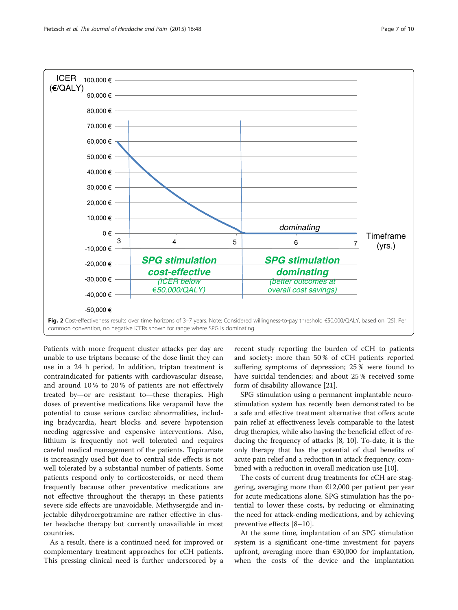<span id="page-6-0"></span>

Patients with more frequent cluster attacks per day are unable to use triptans because of the dose limit they can use in a 24 h period. In addition, triptan treatment is contraindicated for patients with cardiovascular disease, and around 10 % to 20 % of patients are not effectively treated by—or are resistant to—these therapies. High doses of preventive medications like verapamil have the potential to cause serious cardiac abnormalities, including bradycardia, heart blocks and severe hypotension needing aggressive and expensive interventions. Also, lithium is frequently not well tolerated and requires careful medical management of the patients. Topiramate is increasingly used but due to central side effects is not well tolerated by a substantial number of patients. Some patients respond only to corticosteroids, or need them frequently because other preventative medications are not effective throughout the therapy; in these patients severe side effects are unavoidable. Methysergide and injectable dihydroergotramine are rather effective in cluster headache therapy but currently unavailiable in most countries.

As a result, there is a continued need for improved or complementary treatment approaches for cCH patients. This pressing clinical need is further underscored by a

recent study reporting the burden of cCH to patients and society: more than 50 % of cCH patients reported suffering symptoms of depression; 25 % were found to have suicidal tendencies; and about 25 % received some form of disability allowance [[21\]](#page-9-0).

SPG stimulation using a permanent implantable neurostimulation system has recently been demonstrated to be a safe and effective treatment alternative that offers acute pain relief at effectiveness levels comparable to the latest drug therapies, while also having the beneficial effect of reducing the frequency of attacks [\[8](#page-8-0), [10\]](#page-8-0). To-date, it is the only therapy that has the potential of dual benefits of acute pain relief and a reduction in attack frequency, combined with a reduction in overall medication use [\[10\]](#page-8-0).

The costs of current drug treatments for cCH are staggering, averaging more than €12,000 per patient per year for acute medications alone. SPG stimulation has the potential to lower these costs, by reducing or eliminating the need for attack-ending medications, and by achieving preventive effects [\[8](#page-8-0)–[10\]](#page-8-0).

At the same time, implantation of an SPG stimulation system is a significant one-time investment for payers upfront, averaging more than €30,000 for implantation, when the costs of the device and the implantation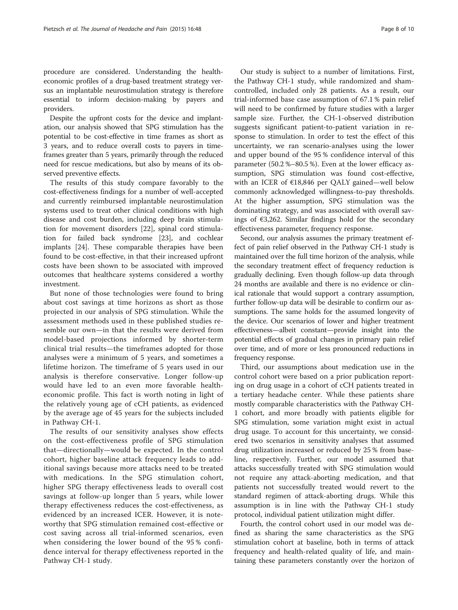procedure are considered. Understanding the healtheconomic profiles of a drug-based treatment strategy versus an implantable neurostimulation strategy is therefore essential to inform decision-making by payers and providers.

Despite the upfront costs for the device and implantation, our analysis showed that SPG stimulation has the potential to be cost-effective in time frames as short as 3 years, and to reduce overall costs to payers in timeframes greater than 5 years, primarily through the reduced need for rescue medications, but also by means of its observed preventive effects.

The results of this study compare favorably to the cost-effectiveness findings for a number of well-accepted and currently reimbursed implantable neurostimulation systems used to treat other clinical conditions with high disease and cost burden, including deep brain stimulation for movement disorders [\[22](#page-9-0)], spinal cord stimulation for failed back syndrome [[23\]](#page-9-0), and cochlear implants [[24\]](#page-9-0). These comparable therapies have been found to be cost-effective, in that their increased upfront costs have been shown to be associated with improved outcomes that healthcare systems considered a worthy investment.

But none of those technologies were found to bring about cost savings at time horizons as short as those projected in our analysis of SPG stimulation. While the assessment methods used in these published studies resemble our own—in that the results were derived from model-based projections informed by shorter-term clinical trial results—the timeframes adopted for those analyses were a minimum of 5 years, and sometimes a lifetime horizon. The timeframe of 5 years used in our analysis is therefore conservative. Longer follow-up would have led to an even more favorable healtheconomic profile. This fact is worth noting in light of the relatively young age of cCH patients, as evidenced by the average age of 45 years for the subjects included in Pathway CH-1.

The results of our sensitivity analyses show effects on the cost-effectiveness profile of SPG stimulation that—directionally—would be expected. In the control cohort, higher baseline attack frequency leads to additional savings because more attacks need to be treated with medications. In the SPG stimulation cohort, higher SPG therapy effectiveness leads to overall cost savings at follow-up longer than 5 years, while lower therapy effectiveness reduces the cost-effectiveness, as evidenced by an increased ICER. However, it is noteworthy that SPG stimulation remained cost-effective or cost saving across all trial-informed scenarios, even when considering the lower bound of the 95 % confidence interval for therapy effectiveness reported in the Pathway CH-1 study.

Our study is subject to a number of limitations. First, the Pathway CH-1 study, while randomized and shamcontrolled, included only 28 patients. As a result, our trial-informed base case assumption of 67.1 % pain relief will need to be confirmed by future studies with a larger sample size. Further, the CH-1-observed distribution suggests significant patient-to-patient variation in response to stimulation. In order to test the effect of this uncertainty, we ran scenario-analyses using the lower and upper bound of the 95 % confidence interval of this parameter (50.2 %–80.5 %). Even at the lower efficacy assumption, SPG stimulation was found cost-effective, with an ICER of  $E18,846$  per QALY gained—well below commonly acknowledged willingness-to-pay thresholds. At the higher assumption, SPG stimulation was the dominating strategy, and was associated with overall savings of €3,262. Similar findings hold for the secondary effectiveness parameter, frequency response.

Second, our analysis assumes the primary treatment effect of pain relief observed in the Pathway CH-1 study is maintained over the full time horizon of the analysis, while the secondary treatment effect of frequency reduction is gradually declining. Even though follow-up data through 24 months are available and there is no evidence or clinical rationale that would support a contrary assumption, further follow-up data will be desirable to confirm our assumptions. The same holds for the assumed longevity of the device. Our scenarios of lower and higher treatment effectiveness—albeit constant—provide insight into the potential effects of gradual changes in primary pain relief over time, and of more or less pronounced reductions in frequency response.

Third, our assumptions about medication use in the control cohort were based on a prior publication reporting on drug usage in a cohort of cCH patients treated in a tertiary headache center. While these patients share mostly comparable characteristics with the Pathway CH-1 cohort, and more broadly with patients eligible for SPG stimulation, some variation might exist in actual drug usage. To account for this uncertainty, we considered two scenarios in sensitivity analyses that assumed drug utilization increased or reduced by 25 % from baseline, respectively. Further, our model assumed that attacks successfully treated with SPG stimulation would not require any attack-aborting medication, and that patients not successfully treated would revert to the standard regimen of attack-aborting drugs. While this assumption is in line with the Pathway CH-1 study protocol, individual patient utilization might differ.

Fourth, the control cohort used in our model was defined as sharing the same characteristics as the SPG stimulation cohort at baseline, both in terms of attack frequency and health-related quality of life, and maintaining these parameters constantly over the horizon of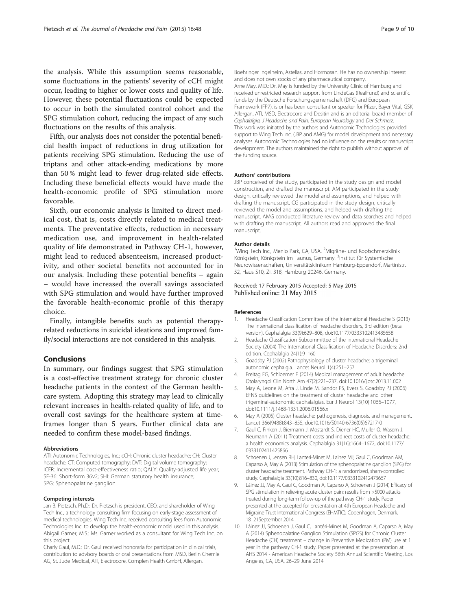<span id="page-8-0"></span>the analysis. While this assumption seems reasonable, some fluctuations in the patients' severity of cCH might occur, leading to higher or lower costs and quality of life. However, these potential fluctuations could be expected to occur in both the simulated control cohort and the SPG stimulation cohort, reducing the impact of any such fluctuations on the results of this analysis.

Fifth, our analysis does not consider the potential beneficial health impact of reductions in drug utilization for patients receiving SPG stimulation. Reducing the use of triptans and other attack-ending medications by more than 50 % might lead to fewer drug-related side effects. Including these beneficial effects would have made the health-economic profile of SPG stimulation more favorable.

Sixth, our economic analysis is limited to direct medical cost, that is, costs directly related to medical treatments. The preventative effects, reduction in necessary medication use, and improvement in health-related quality of life demonstrated in Pathway CH-1, however, might lead to reduced absenteeism, increased productivity, and other societal benefits not accounted for in our analysis. Including these potential benefits – again – would have increased the overall savings associated with SPG stimulation and would have further improved the favorable health-economic profile of this therapy choice.

Finally, intangible benefits such as potential therapyrelated reductions in suicidal ideations and improved family/social interactions are not considered in this analysis.

## Conclusions

In summary, our findings suggest that SPG stimulation is a cost-effective treatment strategy for chronic cluster headache patients in the context of the German healthcare system. Adopting this strategy may lead to clinically relevant increases in health-related quality of life, and to overall cost savings for the healthcare system at timeframes longer than 5 years. Further clinical data are needed to confirm these model-based findings.

#### Abbreviations

ATI: Autonomic Technologies, Inc.; cCH: Chronic cluster headache; CH: Cluster headache; CT: Computed tomography; DVT: Digital volume tomography; ICER: Incremental cost-effectiveness ratio; QALY: Quality-adjusted life year; SF-36: Short-form 36v2; SHI: German statutory health insurance; SPG: Sphenopalatine ganglion.

#### Competing interests

Jan B. Pietzsch, Ph.D.: Dr. Pietzsch is president, CEO, and shareholder of Wing Tech Inc., a technology consulting firm focusing on early-stage assessment of medical technologies. Wing Tech Inc. received consulting fees from Autonomic Technologies Inc. to develop the health-economic model used in this analysis. Abigail Garner, M.S.: Ms. Garner worked as a consultant for Wing Tech Inc. on this project.

Charly Gaul, M.D.: Dr. Gaul received honoraria for participation in clinical trials, contribution to advisory boards or oral presentations from MSD, Berlin Chemie AG, St. Jude Medical, ATI, Electrocore, Complen Health GmbH, Allergan,

Boehringer Ingelheim, Astellas, and Hormosan. He has no ownership interest and does not own stocks of any pharmaceutical company. Arne May, M.D.: Dr. May is funded by the University Clinic of Hamburg and received unrestricted research support from LindeGas (RealFund) and scientific funds by the Deutsche Forschungsgemeinschaft (DFG) and European Framework (FP7), is or has been consultant or speaker for Pfizer, Bayer Vital, GSK, Allergan, ATI, MSD, Electrocore and Desitin and is an editorial board member of Cephalalgia, J Headache and Pain, European Neurology and Der Schmerz. This work was initiated by the authors and Autonomic Technologies provided support to Wing Tech Inc. (JBP and AMG) for model development and necessary analyses. Autonomic Technologies had no influence on the results or manuscript development. The authors maintained the right to publish without approval of the funding source.

#### Authors' contributions

JBP conceived of the study, participated in the study design and model construction, and drafted the manuscript. AM participated in the study design, critically reviewed the model and assumptions, and helped with drafting the manuscript. CG participated in the study design, critically reviewed the model and assumptions, and helped with drafting the manuscript. AMG conducted literature review and data searches and helped with drafting the manuscript. All authors read and approved the final manuscript.

#### Author details

<sup>1</sup>Wing Tech Inc., Menlo Park, CA, USA. <sup>2</sup>Migräne- und Kopfschmerzklinik Königstein, Königstein im Taunus, Germany. <sup>3</sup>Institut für Systemische Neurowissenschaften, Universitätsklinikum Hamburg-Eppendorf, Martinistr. 52, Haus S10, Zi. 318, Hamburg 20246, Germany.

#### Received: 17 February 2015 Accepted: 5 May 2015 Published online: 21 May 2015

#### References

- 1. Headache Classification Committee of the International Headache S (2013) The international classification of headache disorders, 3rd edition (beta version). Cephalalgia 33(9):629–808, doi:10.1177/0333102413485658
- 2. Headache Classification Subcommittee of the International Headache Society (2004) The International Classification of Headache Disorders: 2nd edition. Cephalalgia 24(1):9–160
- 3. Goadsby PJ (2002) Pathophysiology of cluster headache: a trigeminal autonomic cephalgia. Lancet Neurol 1(4):251–257
- 4. Freitag FG, Schloemer F (2014) Medical management of adult headache. Otolaryngol Clin North Am 47(2):221–237, doi:10.1016/j.otc.2013.11.002
- 5. May A, Leone M, Afra J, Linde M, Sandor PS, Evers S, Goadsby PJ (2006) EFNS guidelines on the treatment of cluster headache and other trigeminal-autonomic cephalalgias. Eur J Neurol 13(10):1066–1077, doi:10.1111/j.1468-1331.2006.01566.x
- 6. May A (2005) Cluster headache: pathogenesis, diagnosis, and management. Lancet 366(9488):843–855, doi:10.1016/S0140-6736(05)67217-0
- 7. Gaul C, Finken J, Biermann J, Mostardt S, Diener HC, Muller O, Wasem J, Neumann A (2011) Treatment costs and indirect costs of cluster headache: a health economics analysis. Cephalalgia 31(16):1664–1672, doi:10.1177/ 0333102411425866
- 8. Schoenen J, Jensen RH, Lanteri-Minet M, Lainez MJ, Gaul C, Goodman AM, Caparso A, May A (2013) Stimulation of the sphenopalatine ganglion (SPG) for cluster headache treatment. Pathway CH-1: a randomized, sham-controlled study. Cephalalgia 33(10):816–830, doi:10.1177/0333102412473667
- 9. Láinez JJ, May A, Gaul C, Goodman A, Caparso A, Schoenen J (2014) Efficacy of SPG stimulation in relieving acute cluster pain: results from >5000 attacks treated during long-term follow-up of the pathway CH-1 study. Paper presented at the accepted for presentation at 4th European Headache and Migraine Trust International Congress (EHMTIC), Copenhagen, Denmark, 18–21September 2014
- 10. Láinez JJ, Schoenen J, Gaul C, Lantéri-Minet M, Goodman A, Caparso A, May A (2014) Sphenopalatine Ganglion Stimulation (SPGS) for Chronic Cluster Headache (CH) treatment – change in Preventive Medication (PM) use at 1 year in the pathway CH-1 study. Paper presented at the presentation at AHS 2014 - American Headache Society 56th Annual Scientific Meeting, Los Angeles, CA, USA, 26–29 June 2014